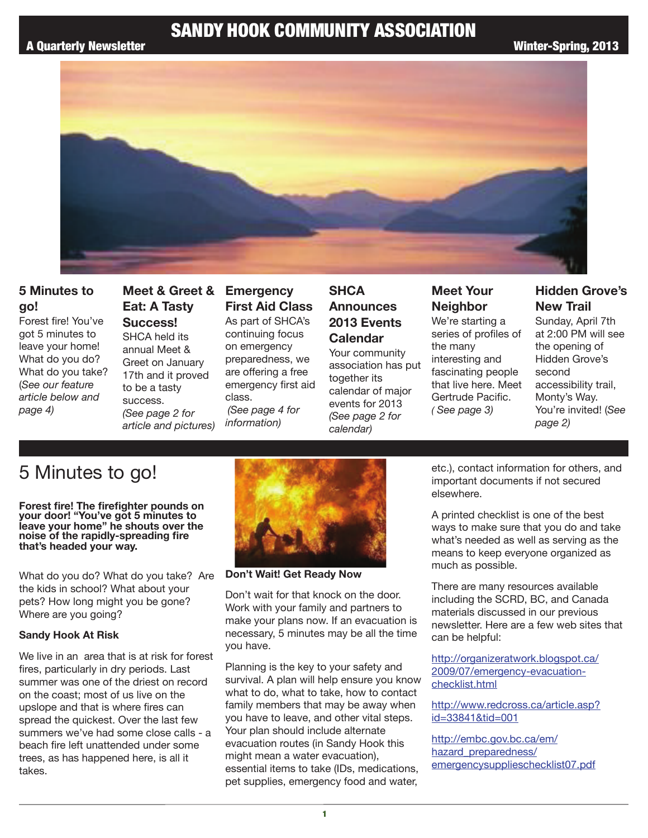# SANDY HOOK COMMUNITY ASSOCIATION



### **5 Minutes to go!**

Forest fire! You've got 5 minutes to leave your home! What do you do? What do you take? (*See our feature article below and page 4)*

# **Eat: A Tasty Success!** SHCA held its annual Meet &

Greet on January 17th and it proved to be a tasty success. *(See page 2 for article and pictures)*

## **Meet & Greet & Emergency First Aid Class**

As part of SHCA's continuing focus on emergency preparedness, we are offering a free emergency first aid class. *(See page 4 for information)*

## **SHCA Announces 2013 Events Calendar**

Your community association has put together its calendar of major events for 2013 *(See page 2 for calendar)*

# **Meet Your Neighbor**

We're starting a series of profiles of the many interesting and fascinating people that live here. Meet Gertrude Pacific. *( See page 3)*

## **Hidden Grove's New Trail**

Sunday, April 7th at 2:00 PM will see the opening of Hidden Grove's second accessibility trail, Monty's Way. You're invited! (*See page 2)*

# 5 Minutes to go!

**Forest fire! The firefighter pounds on your door! "You've got 5 minutes to leave your home" he shouts over the noise of the rapidly-spreading fire that's headed your way.** 

What do you do? What do you take? Are the kids in school? What about your pets? How long might you be gone? Where are you going?

#### **Sandy Hook At Risk**

We live in an area that is at risk for forest fires, particularly in dry periods. Last summer was one of the driest on record on the coast; most of us live on the upslope and that is where fires can spread the quickest. Over the last few summers we've had some close calls - a beach fire left unattended under some trees, as has happened here, is all it takes.



**Don't Wait! Get Ready Now**

Don't wait for that knock on the door. Work with your family and partners to make your plans now. If an evacuation is necessary, 5 minutes may be all the time you have.

Planning is the key to your safety and survival. A plan will help ensure you know what to do, what to take, how to contact family members that may be away when you have to leave, and other vital steps. Your plan should include alternate evacuation routes (in Sandy Hook this might mean a water evacuation), essential items to take (IDs, medications, pet supplies, emergency food and water,

etc.), contact information for others, and important documents if not secured elsewhere.

A printed checklist is one of the best ways to make sure that you do and take what's needed as well as serving as the means to keep everyone organized as much as possible.

There are many resources available including the SCRD, BC, and Canada materials discussed in our previous newsletter. Here are a few web sites that can be helpful:

http://organizeratwork.blogspot.ca/ 2009/07/emergency-evacuationchecklist.html

http://www.redcross.ca/article.asp? id=33841&tid=001

http://embc.gov.bc.ca/em/ hazard\_preparedness/ emergencysupplieschecklist07.pdf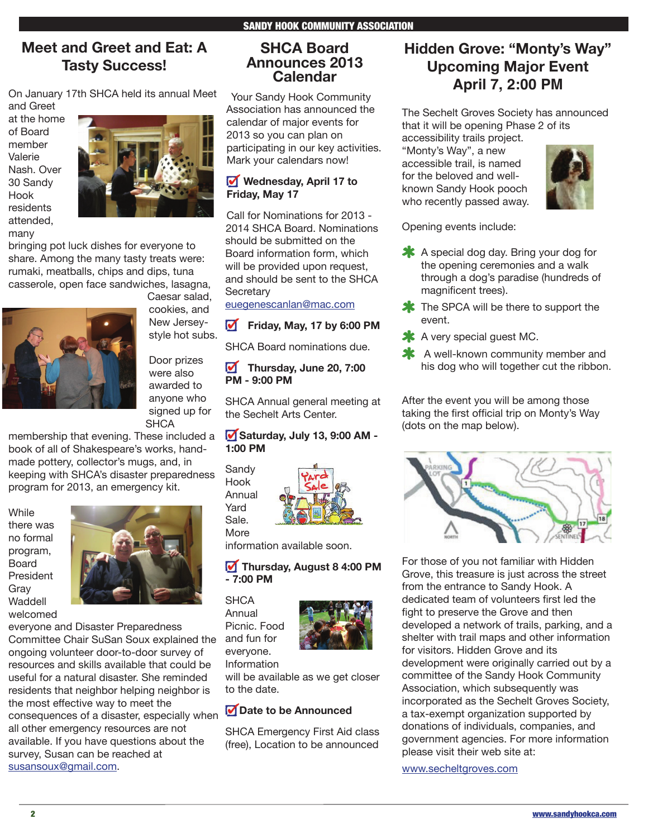# **Meet and Greet and Eat: A Tasty Success!**

On January 17th SHCA held its annual Meet and Greet

at the home of Board member Valerie Nash. Over 30 Sandy Hook residents attended, many



bringing pot luck dishes for everyone to share. Among the many tasty treats were: rumaki, meatballs, chips and dips, tuna casserole, open face sandwiches, lasagna,



Caesar salad, cookies, and New Jerseystyle hot subs.

Door prizes were also awarded to anyone who signed up for **SHCA** 

membership that evening. These included a book of all of Shakespeare's works, handmade pottery, collector's mugs, and, in keeping with SHCA's disaster preparedness program for 2013, an emergency kit.

**While** there was no formal program, Board President Gray Waddell welcomed



everyone and Disaster Preparedness

Committee Chair SuSan Soux explained the ongoing volunteer door-to-door survey of resources and skills available that could be useful for a natural disaster. She reminded residents that neighbor helping neighbor is the most effective way to meet the consequences of a disaster, especially when all other emergency resources are not available. If you have questions about the survey, Susan can be reached at susansoux@gmail.com.

#### **SHCA Board Announces 2013 Calendar**

 Your Sandy Hook Community Association has announced the calendar of major events for 2013 so you can plan on participating in our key activities. Mark your calendars now!

#### **Wednesday, April 17 to Friday, May 17**

Call for Nominations for 2013 - 2014 SHCA Board. Nominations should be submitted on the Board information form, which will be provided upon request, and should be sent to the SHCA **Secretary** 

euegenescanlan@mac.com

#### **Friday, May, 17 by 6:00 PM**

SHCA Board nominations due.

#### **Thursday, June 20, 7:00 PM - 9:00 PM**

SHCA Annual general meeting at the Sechelt Arts Center.

#### **Saturday, July 13, 9:00 AM - 1:00 PM**

Sandy Hook Annual Yard

Sale. More

information available soon.

#### **Thursday, August 8 4:00 PM - 7:00 PM**

**SHCA** Annual Picnic. Food and fun for everyone. Information

will be available as we get closer to the date.

### **Date to be Announced**

SHCA Emergency First Aid class (free), Location to be announced

# **Hidden Grove: "Monty's Way" Upcoming Major Event April 7, 2:00 PM**

The Sechelt Groves Society has announced that it will be opening Phase 2 of its

accessibility trails project. "Monty's Way", a new accessible trail, is named for the beloved and wellknown Sandy Hook pooch who recently passed away.



Opening events include:

- A special dog day. Bring your dog for the opening ceremonies and a walk through a dog's paradise (hundreds of magnificent trees).
- **\*** The SPCA will be there to support the event.
- \* A very special guest MC.
- \* A well-known community member and his dog who will together cut the ribbon.

After the event you will be among those taking the first official trip on Monty's Way (dots on the map below).



For those of you not familiar with Hidden Grove, this treasure is just across the street from the entrance to Sandy Hook. A dedicated team of volunteers first led the fight to preserve the Grove and then developed a network of trails, parking, and a shelter with trail maps and other information for visitors. Hidden Grove and its development were originally carried out by a committee of the Sandy Hook Community Association, which subsequently was incorporated as the Sechelt Groves Society, a tax-exempt organization supported by donations of individuals, companies, and government agencies. For more information please visit their web site at:

www.secheltgroves.com

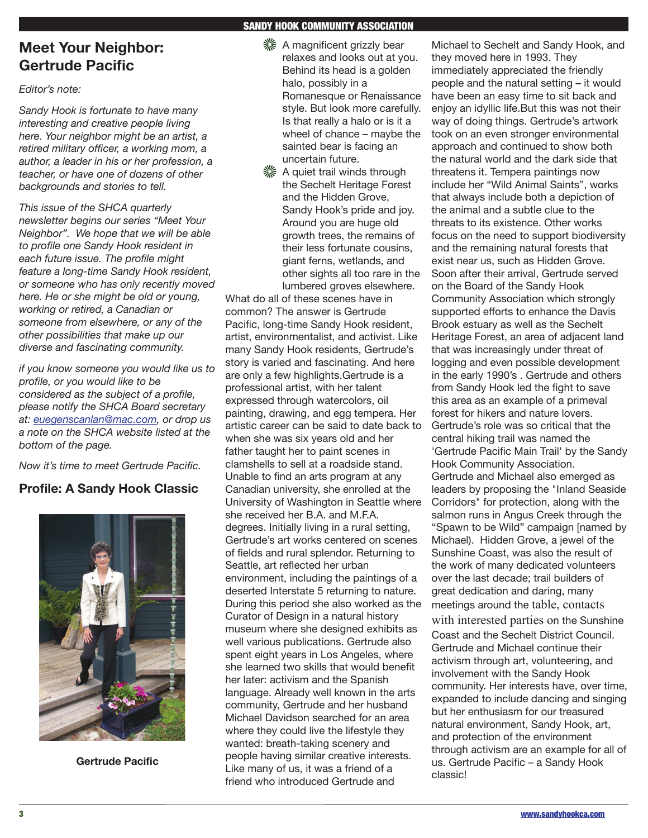# **Meet Your Neighbor: Gertrude Pacific**

*Editor's note:*

*Sandy Hook is fortunate to have many interesting and creative people living here. Your neighbor might be an artist, a retired military officer, a working mom, a author, a leader in his or her profession, a teacher, or have one of dozens of other backgrounds and stories to tell.*

*This issue of the SHCA quarterly newsletter begins our series "Meet Your Neighbor". We hope that we will be able to profile one Sandy Hook resident in each future issue. The profile might feature a long-time Sandy Hook resident, or someone who has only recently moved here. He or she might be old or young, working or retired, a Canadian or someone from elsewhere, or any of the other possibilities that make up our diverse and fascinating community.* 

*if you know someone you would like us to profile, or you would like to be considered as the subject of a profile, please notify the SHCA Board secretary at: euegenscanlan@mac.com, or drop us a note on the SHCA website listed at the bottom of the page.*

*Now it's time to meet Gertrude Pacific.*

## **Profile: A Sandy Hook Classic**



**Gertrude Pacific**

#### SANDY HOOK COMMUNITY ASSOCIATION

- **※ A magnificent grizzly bear** relaxes and looks out at you. Behind its head is a golden halo, possibly in a Romanesque or Renaissance style. But look more carefully. Is that really a halo or is it a wheel of chance – maybe the sainted bear is facing an uncertain future.
- **※ A quiet trail winds through** the Sechelt Heritage Forest and the Hidden Grove, Sandy Hook's pride and joy. Around you are huge old growth trees, the remains of their less fortunate cousins, giant ferns, wetlands, and other sights all too rare in the lumbered groves elsewhere.

What do all of these scenes have in common? The answer is Gertrude Pacific, long-time Sandy Hook resident, artist, environmentalist, and activist. Like many Sandy Hook residents, Gertrude's story is varied and fascinating. And here are only a few highlights.Gertrude is a professional artist, with her talent expressed through watercolors, oil painting, drawing, and egg tempera. Her artistic career can be said to date back to when she was six years old and her father taught her to paint scenes in clamshells to sell at a roadside stand. Unable to find an arts program at any Canadian university, she enrolled at the University of Washington in Seattle where she received her B.A. and M.F.A. degrees. Initially living in a rural setting, Gertrude's art works centered on scenes of fields and rural splendor. Returning to Seattle, art reflected her urban environment, including the paintings of a deserted Interstate 5 returning to nature. During this period she also worked as the Curator of Design in a natural history museum where she designed exhibits as well various publications. Gertrude also spent eight years in Los Angeles, where she learned two skills that would benefit her later: activism and the Spanish language. Already well known in the arts community, Gertrude and her husband Michael Davidson searched for an area where they could live the lifestyle they wanted: breath-taking scenery and people having similar creative interests. Like many of us, it was a friend of a friend who introduced Gertrude and

Michael to Sechelt and Sandy Hook, and they moved here in 1993. They immediately appreciated the friendly people and the natural setting – it would have been an easy time to sit back and enjoy an idyllic life.But this was not their way of doing things. Gertrude's artwork took on an even stronger environmental approach and continued to show both the natural world and the dark side that threatens it. Tempera paintings now include her "Wild Animal Saints", works that always include both a depiction of the animal and a subtle clue to the threats to its existence. Other works focus on the need to support biodiversity and the remaining natural forests that exist near us, such as Hidden Grove. Soon after their arrival, Gertrude served on the Board of the Sandy Hook Community Association which strongly supported efforts to enhance the Davis Brook estuary as well as the Sechelt Heritage Forest, an area of adjacent land that was increasingly under threat of logging and even possible development in the early 1990's . Gertrude and others from Sandy Hook led the fight to save this area as an example of a primeval forest for hikers and nature lovers. Gertrude's role was so critical that the central hiking trail was named the 'Gertrude Pacific Main Trail' by the Sandy Hook Community Association. Gertrude and Michael also emerged as leaders by proposing the "Inland Seaside Corridors" for protection, along with the salmon runs in Angus Creek through the "Spawn to be Wild" campaign [named by Michael). Hidden Grove, a jewel of the Sunshine Coast, was also the result of the work of many dedicated volunteers over the last decade; trail builders of great dedication and daring, many meetings around the table, contacts with interested parties on the Sunshine Coast and the Sechelt District Council. Gertrude and Michael continue their activism through art, volunteering, and involvement with the Sandy Hook community. Her interests have, over time, expanded to include dancing and singing but her enthusiasm for our treasured natural environment, Sandy Hook, art, and protection of the environment through activism are an example for all of us. Gertrude Pacific – a Sandy Hook classic!